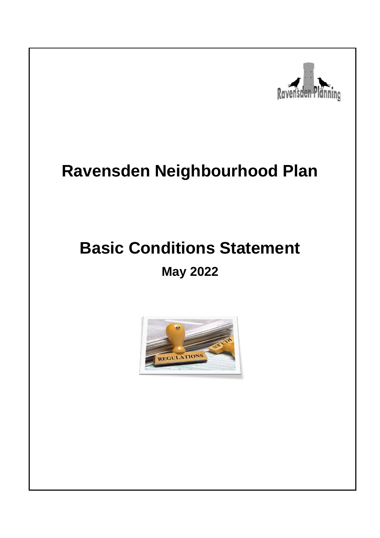

# **Ravensden Neighbourhood Plan**

# **Basic Conditions Statement May 2022**

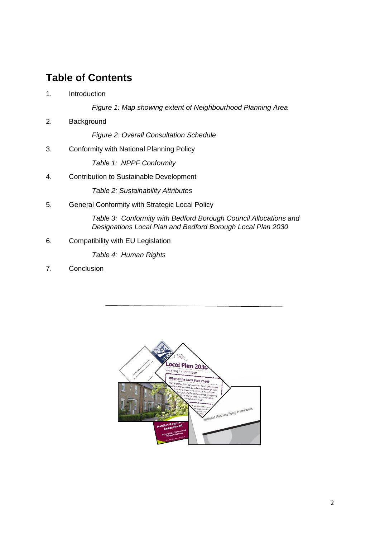# **Table of Contents**

1. Introduction

*Figure 1: Map showing extent of Neighbourhood Planning Area*

2. Background

*Figure 2: Overall Consultation Schedule*

3. Conformity with National Planning Policy

*Table 1: NPPF Conformity*

4. Contribution to Sustainable Development

*Table 2: Sustainability Attributes*

5. General Conformity with Strategic Local Policy

*Table 3: Conformity with Bedford Borough Council Allocations and Designations Local Plan and Bedford Borough Local Plan 2030*

6. Compatibility with EU Legislation

*Table 4: Human Rights*

7. Conclusion

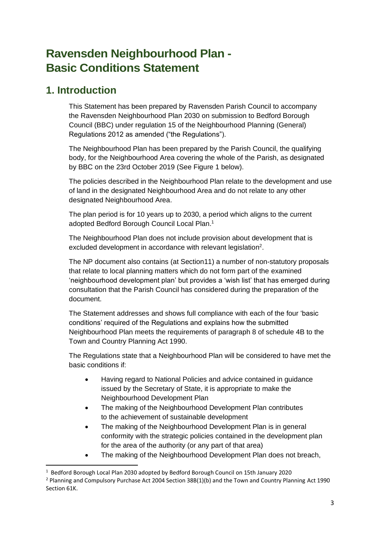# **Ravensden Neighbourhood Plan - Basic Conditions Statement**

## **1. Introduction**

This Statement has been prepared by Ravensden Parish Council to accompany the Ravensden Neighbourhood Plan 2030 on submission to Bedford Borough Council (BBC) under regulation 15 of the Neighbourhood Planning (General) Regulations 2012 as amended ("the Regulations").

The Neighbourhood Plan has been prepared by the Parish Council, the qualifying body, for the Neighbourhood Area covering the whole of the Parish, as designated by BBC on the 23rd October 2019 (See Figure 1 below).

The policies described in the Neighbourhood Plan relate to the development and use of land in the designated Neighbourhood Area and do not relate to any other designated Neighbourhood Area.

The plan period is for 10 years up to 2030, a period which aligns to the current adopted Bedford Borough Council Local Plan.<sup>1</sup>

The Neighbourhood Plan does not include provision about development that is excluded development in accordance with relevant legislation<sup>2</sup>.

The NP document also contains (at Section11) a number of non-statutory proposals that relate to local planning matters which do not form part of the examined 'neighbourhood development plan' but provides a 'wish list' that has emerged during consultation that the Parish Council has considered during the preparation of the document.

The Statement addresses and shows full compliance with each of the four 'basic conditions' required of the Regulations and explains how the submitted Neighbourhood Plan meets the requirements of paragraph 8 of schedule 4B to the Town and Country Planning Act 1990.

The Regulations state that a Neighbourhood Plan will be considered to have met the basic conditions if:

- Having regard to National Policies and advice contained in guidance issued by the Secretary of State, it is appropriate to make the Neighbourhood Development Plan
- The making of the Neighbourhood Development Plan contributes to the achievement of sustainable development
- The making of the Neighbourhood Development Plan is in general conformity with the strategic policies contained in the development plan for the area of the authority (or any part of that area)
- The making of the Neighbourhood Development Plan does not breach,

<sup>&</sup>lt;sup>1</sup> Bedford Borough Local Plan 2030 adopted by Bedford Borough Council on 15th January 2020

<sup>&</sup>lt;sup>2</sup> Planning and Compulsory Purchase Act 2004 Section 38B(1)(b) and the Town and Country Planning Act 1990 Section 61K.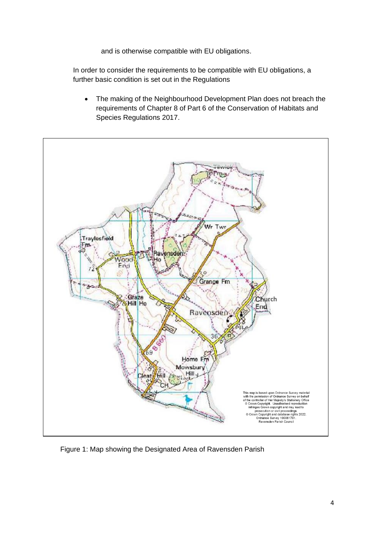and is otherwise compatible with EU obligations.

In order to consider the requirements to be compatible with EU obligations, a further basic condition is set out in the Regulations

• The making of the Neighbourhood Development Plan does not breach the requirements of Chapter 8 of Part 6 of the Conservation of Habitats and Species Regulations 2017.



Figure 1: Map showing the Designated Area of Ravensden Parish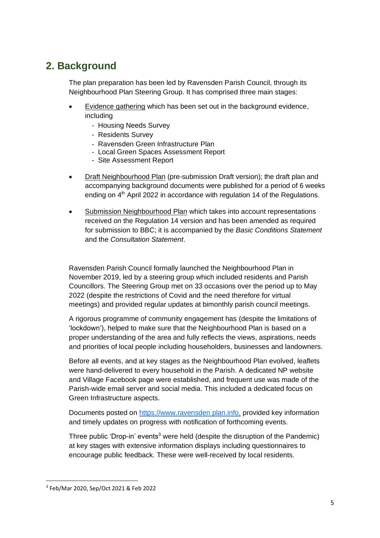# **2. Background**

The plan preparation has been led by Ravensden Parish Council, through its Neighbourhood Plan Steering Group. It has comprised three main stages:

- Evidence gathering which has been set out in the background evidence, including
	- Housing Needs Survey
	- Residents Survey
	- Ravensden Green Infrastructure Plan
	- Local Green Spaces Assessment Report
	- Site Assessment Report
- Draft Neighbourhood Plan (pre-submission Draft version); the draft plan and accompanying background documents were published for a period of 6 weeks ending on 4<sup>th</sup> April 2022 in accordance with regulation 14 of the Regulations.
- Submission Neighbourhood Plan which takes into account representations received on the Regulation 14 version and has been amended as required for submission to BBC; it is accompanied by the *Basic Conditions Statement* and the *Consultation Statement*.

Ravensden Parish Council formally launched the Neighbourhood Plan in November 2019, led by a steering group which included residents and Parish Councillors. The Steering Group met on 33 occasions over the period up to May 2022 (despite the restrictions of Covid and the need therefore for virtual meetings) and provided regular updates at bimonthly parish council meetings.

A rigorous programme of community engagement has (despite the limitations of 'lockdown'), helped to make sure that the Neighbourhood Plan is based on a proper understanding of the area and fully reflects the views, aspirations, needs and priorities of local people including householders, businesses and landowners.

Before all events, and at key stages as the Neighbourhood Plan evolved, leaflets were hand-delivered to every household in the Parish. A dedicated NP website and Village Facebook page were established, and frequent use was made of the Parish-wide email server and social media. This included a dedicated focus on Green Infrastructure aspects.

Documents posted on https://www.ravensden plan.info, provided key information and timely updates on progress with notification of forthcoming events.

Three public 'Drop-in' events<sup>3</sup> were held (despite the disruption of the Pandemic) at key stages with extensive information displays including questionnaires to encourage public feedback. These were well-received by local residents.

<sup>3</sup> Feb/Mar 2020, Sep/Oct 2021 & Feb 2022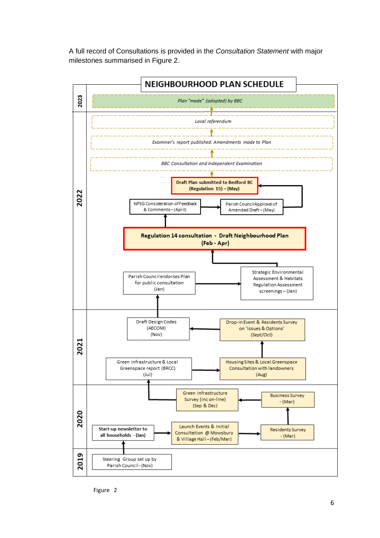A full record of Consultations is provided in the *Consultation Statement* with major milestones summarised in Figure 2.



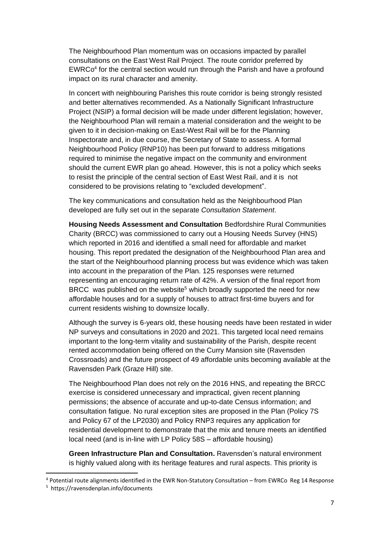The Neighbourhood Plan momentum was on occasions impacted by parallel consultations on the East West Rail Project. The route corridor preferred by EWRCo 4 for the central section would run through the Parish and have a profound impact on its rural character and amenity.

In concert with neighbouring Parishes this route corridor is being strongly resisted and better alternatives recommended. As a Nationally Significant Infrastructure Project (NSIP) a formal decision will be made under different legislation; however, the Neighbourhood Plan will remain a material consideration and the weight to be given to it in decision-making on East-West Rail will be for the Planning Inspectorate and, in due course, the Secretary of State to assess. A formal Neighbourhood Policy (RNP10) has been put forward to address mitigations required to minimise the negative impact on the community and environment should the current EWR plan go ahead. However, this is not a policy which seeks to resist the principle of the central section of East West Rail, and it is not considered to be provisions relating to "excluded development".

The key communications and consultation held as the Neighbourhood Plan developed are fully set out in the separate *Consultation Statement*.

**Housing Needs Assessment and Consultation** Bedfordshire Rural Communities Charity (BRCC) was commissioned to carry out a Housing Needs Survey (HNS) which reported in 2016 and identified a small need for affordable and market housing. This report predated the designation of the Neighbourhood Plan area and the start of the Neighbourhood planning process but was evidence which was taken into account in the preparation of the Plan. 125 responses were returned representing an encouraging return rate of 42%. A version of the final report from BRCC was published on the website<sup>5</sup> which broadly supported the need for new affordable houses and for a supply of houses to attract first-time buyers and for current residents wishing to downsize locally.

Although the survey is 6-years old, these housing needs have been restated in wider NP surveys and consultations in 2020 and 2021. This targeted local need remains important to the long-term vitality and sustainability of the Parish, despite recent rented accommodation being offered on the Curry Mansion site (Ravensden Crossroads) and the future prospect of 49 affordable units becoming available at the Ravensden Park (Graze Hill) site.

The Neighbourhood Plan does not rely on the 2016 HNS, and repeating the BRCC exercise is considered unnecessary and impractical, given recent planning permissions; the absence of accurate and up-to-date Census information; and consultation fatigue. No rural exception sites are proposed in the Plan (Policy 7S and Policy 67 of the LP2030) and Policy RNP3 requires any application for residential development to demonstrate that the mix and tenure meets an identified local need (and is in-line with LP Policy 58S – affordable housing)

**Green Infrastructure Plan and Consultation.** Ravensden's natural environment is highly valued along with its heritage features and rural aspects. This priority is

<sup>4</sup> Potential route alignments identified in the EWR Non-Statutory Consultation – from EWRCo Reg 14 Response

<sup>5</sup> https://ravensdenplan.info/documents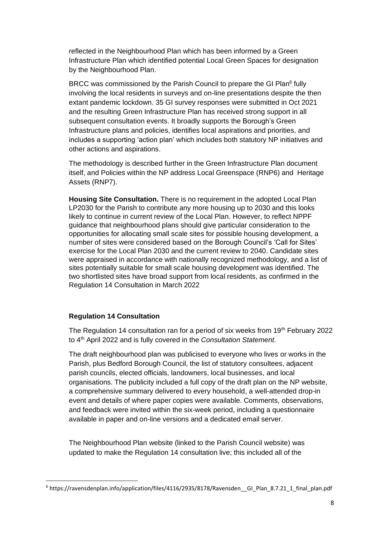reflected in the Neighbourhood Plan which has been informed by a Green Infrastructure Plan which identified potential Local Green Spaces for designation by the Neighbourhood Plan.

BRCC was commissioned by the Parish Council to prepare the GI Plan<sup>6</sup> fully involving the local residents in surveys and on-line presentations despite the then extant pandemic lockdown. 35 GI survey responses were submitted in Oct 2021 and the resulting Green Infrastructure Plan has received strong support in all subsequent consultation events. It broadly supports the Borough's Green Infrastructure plans and policies, identifies local aspirations and priorities, and includes a supporting 'action plan' which includes both statutory NP initiatives and other actions and aspirations.

The methodology is described further in the Green Infrastructure Plan document itself, and Policies within the NP address Local Greenspace (RNP6) and Heritage Assets (RNP7).

**Housing Site Consultation.** There is no requirement in the adopted Local Plan LP2030 for the Parish to contribute any more housing up to 2030 and this looks likely to continue in current review of the Local Plan. However, to reflect NPPF guidance that neighbourhood plans should give particular consideration to the opportunities for allocating small scale sites for possible housing development, a number of sites were considered based on the Borough Council's 'Call for Sites' exercise for the Local Plan 2030 and the current review to 2040. Candidate sites were appraised in accordance with nationally recognized methodology, and a list of sites potentially suitable for small scale housing development was identified. The two shortlisted sites have broad support from local residents, as confirmed in the Regulation 14 Consultation in March 2022

#### **Regulation 14 Consultation**

The Regulation 14 consultation ran for a period of six weeks from 19<sup>th</sup> February 2022 to 4th April 2022 and is fully covered in the *Consultation Statement*.

The draft neighbourhood plan was publicised to everyone who lives or works in the Parish, plus Bedford Borough Council, the list of statutory consultees, adjacent parish councils, elected officials, landowners, local businesses, and local organisations. The publicity included a full copy of the draft plan on the NP website, a comprehensive summary delivered to every household, a well-attended drop-in event and details of where paper copies were available. Comments, observations, and feedback were invited within the six-week period, including a questionnaire available in paper and on-line versions and a dedicated email server.

The Neighbourhood Plan website (linked to the Parish Council website) was updated to make the Regulation 14 consultation live; this included all of the

<sup>6</sup> https://ravensdenplan.info/application/files/4116/2935/8178/Ravensden\_\_GI\_Plan\_8.7.21\_1\_final\_plan.pdf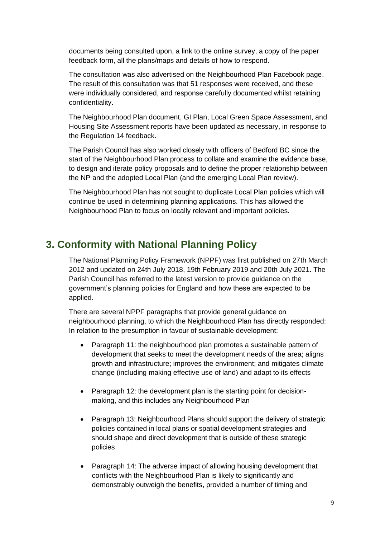documents being consulted upon, a link to the online survey, a copy of the paper feedback form, all the plans/maps and details of how to respond.

The consultation was also advertised on the Neighbourhood Plan Facebook page. The result of this consultation was that 51 responses were received, and these were individually considered, and response carefully documented whilst retaining confidentiality.

The Neighbourhood Plan document, GI Plan, Local Green Space Assessment, and Housing Site Assessment reports have been updated as necessary, in response to the Regulation 14 feedback.

The Parish Council has also worked closely with officers of Bedford BC since the start of the Neighbourhood Plan process to collate and examine the evidence base, to design and iterate policy proposals and to define the proper relationship between the NP and the adopted Local Plan (and the emerging Local Plan review).

The Neighbourhood Plan has not sought to duplicate Local Plan policies which will continue be used in determining planning applications. This has allowed the Neighbourhood Plan to focus on locally relevant and important policies.

## **3. Conformity with National Planning Policy**

The National Planning Policy Framework (NPPF) was first published on 27th March 2012 and updated on 24th July 2018, 19th February 2019 and 20th July 2021. The Parish Council has referred to the latest version to provide guidance on the government's planning policies for England and how these are expected to be applied.

There are several NPPF paragraphs that provide general guidance on neighbourhood planning, to which the Neighbourhood Plan has directly responded: In relation to the presumption in favour of sustainable development:

- Paragraph 11: the neighbourhood plan promotes a sustainable pattern of development that seeks to meet the development needs of the area; aligns growth and infrastructure; improves the environment; and mitigates climate change (including making effective use of land) and adapt to its effects
- Paragraph 12: the development plan is the starting point for decisionmaking, and this includes any Neighbourhood Plan
- Paragraph 13: Neighbourhood Plans should support the delivery of strategic policies contained in local plans or spatial development strategies and should shape and direct development that is outside of these strategic policies
- Paragraph 14: The adverse impact of allowing housing development that conflicts with the Neighbourhood Plan is likely to significantly and demonstrably outweigh the benefits, provided a number of timing and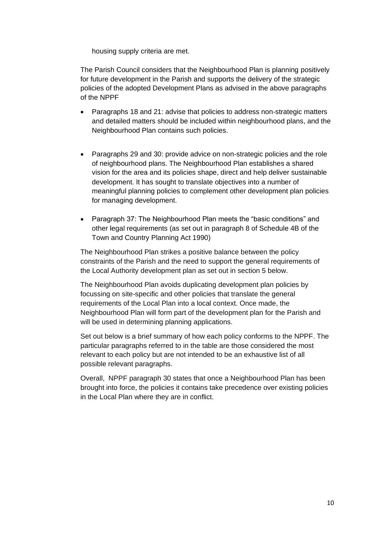housing supply criteria are met.

The Parish Council considers that the Neighbourhood Plan is planning positively for future development in the Parish and supports the delivery of the strategic policies of the adopted Development Plans as advised in the above paragraphs of the NPPF

- Paragraphs 18 and 21: advise that policies to address non-strategic matters and detailed matters should be included within neighbourhood plans, and the Neighbourhood Plan contains such policies.
- Paragraphs 29 and 30: provide advice on non-strategic policies and the role of neighbourhood plans. The Neighbourhood Plan establishes a shared vision for the area and its policies shape, direct and help deliver sustainable development. It has sought to translate objectives into a number of meaningful planning policies to complement other development plan policies for managing development.
- Paragraph 37: The Neighbourhood Plan meets the "basic conditions" and other legal requirements (as set out in paragraph 8 of Schedule 4B of the Town and Country Planning Act 1990)

The Neighbourhood Plan strikes a positive balance between the policy constraints of the Parish and the need to support the general requirements of the Local Authority development plan as set out in section 5 below.

The Neighbourhood Plan avoids duplicating development plan policies by focussing on site-specific and other policies that translate the general requirements of the Local Plan into a local context. Once made, the Neighbourhood Plan will form part of the development plan for the Parish and will be used in determining planning applications.

Set out below is a brief summary of how each policy conforms to the NPPF. The particular paragraphs referred to in the table are those considered the most relevant to each policy but are not intended to be an exhaustive list of all possible relevant paragraphs.

Overall, NPPF paragraph 30 states that once a Neighbourhood Plan has been brought into force, the policies it contains take precedence over existing policies in the Local Plan where they are in conflict.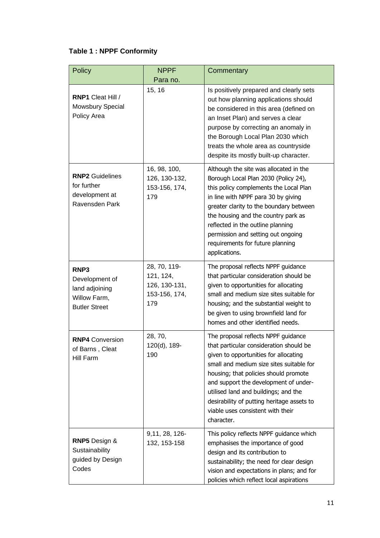## **Table 1 : NPPF Conformity**

| <b>Policy</b>                                                                    | <b>NPPF</b>                                                        | Commentary                                                                                                                                                                                                                                                                                                                                                                                     |
|----------------------------------------------------------------------------------|--------------------------------------------------------------------|------------------------------------------------------------------------------------------------------------------------------------------------------------------------------------------------------------------------------------------------------------------------------------------------------------------------------------------------------------------------------------------------|
| <b>RNP1 Cleat Hill /</b><br>Mowsbury Special<br>Policy Area                      | Para no.<br>15, 16                                                 | Is positively prepared and clearly sets<br>out how planning applications should<br>be considered in this area (defined on<br>an Inset Plan) and serves a clear<br>purpose by correcting an anomaly in<br>the Borough Local Plan 2030 which<br>treats the whole area as countryside<br>despite its mostly built-up character.                                                                   |
| <b>RNP2</b> Guidelines<br>for further<br>development at<br>Ravensden Park        | 16, 98, 100,<br>126, 130-132,<br>153-156, 174,<br>179              | Although the site was allocated in the<br>Borough Local Plan 2030 (Policy 24),<br>this policy complements the Local Plan<br>in line with NPPF para 30 by giving<br>greater clarity to the boundary between<br>the housing and the country park as<br>reflected in the outline planning<br>permission and setting out ongoing<br>requirements for future planning<br>applications.              |
| RNP3<br>Development of<br>land adjoining<br>Willow Farm,<br><b>Butler Street</b> | 28, 70, 119-<br>121, 124,<br>126, 130-131,<br>153-156, 174,<br>179 | The proposal reflects NPPF guidance<br>that particular consideration should be<br>given to opportunities for allocating<br>small and medium size sites suitable for<br>housing; and the substantial weight to<br>be given to using brownfield land for<br>homes and other identified needs.                                                                                                    |
| <b>RNP4 Conversion</b><br>of Barns, Cleat<br>Hill Farm                           | 28, 70,<br>120(d), 189-<br>190                                     | The proposal reflects NPPF guidance<br>that particular consideration should be<br>given to opportunities for allocating<br>small and medium size sites suitable for<br>housing; that policies should promote<br>and support the development of under-<br>utilised land and buildings; and the<br>desirability of putting heritage assets to<br>viable uses consistent with their<br>character. |
| RNP5 Design &<br>Sustainability<br>guided by Design<br>Codes                     | 9,11, 28, 126-<br>132, 153-158                                     | This policy reflects NPPF guidance which<br>emphasises the importance of good<br>design and its contribution to<br>sustainability; the need for clear design<br>vision and expectations in plans; and for<br>policies which reflect local aspirations                                                                                                                                          |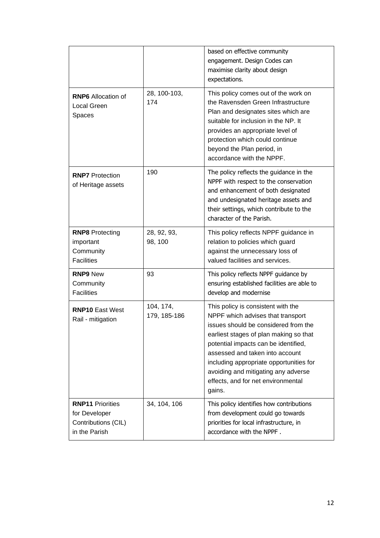|                                                                                  |                           | based on effective community<br>engagement. Design Codes can<br>maximise clarity about design<br>expectations.                                                                                                                                                                                                                                                         |
|----------------------------------------------------------------------------------|---------------------------|------------------------------------------------------------------------------------------------------------------------------------------------------------------------------------------------------------------------------------------------------------------------------------------------------------------------------------------------------------------------|
| <b>RNP6</b> Allocation of<br>Local Green<br>Spaces                               | 28, 100-103,<br>174       | This policy comes out of the work on<br>the Ravensden Green Infrastructure<br>Plan and designates sites which are<br>suitable for inclusion in the NP. It<br>provides an appropriate level of<br>protection which could continue<br>beyond the Plan period, in<br>accordance with the NPPF.                                                                            |
| <b>RNP7</b> Protection<br>of Heritage assets                                     | 190                       | The policy reflects the guidance in the<br>NPPF with respect to the conservation<br>and enhancement of both designated<br>and undesignated heritage assets and<br>their settings, which contribute to the<br>character of the Parish.                                                                                                                                  |
| <b>RNP8</b> Protecting<br>important<br>Community<br><b>Facilities</b>            | 28, 92, 93,<br>98, 100    | This policy reflects NPPF guidance in<br>relation to policies which guard<br>against the unnecessary loss of<br>valued facilities and services.                                                                                                                                                                                                                        |
| <b>RNP9 New</b><br>Community<br><b>Facilities</b>                                | 93                        | This policy reflects NPPF guidance by<br>ensuring established facilities are able to<br>develop and modernise                                                                                                                                                                                                                                                          |
| <b>RNP10 East West</b><br>Rail - mitigation                                      | 104, 174,<br>179, 185-186 | This policy is consistent with the<br>NPPF which advises that transport<br>issues should be considered from the<br>earliest stages of plan making so that<br>potential impacts can be identified,<br>assessed and taken into account<br>including appropriate opportunities for<br>avoiding and mitigating any adverse<br>effects, and for net environmental<br>gains. |
| <b>RNP11 Priorities</b><br>for Developer<br>Contributions (CIL)<br>in the Parish | 34, 104, 106              | This policy identifies how contributions<br>from development could go towards<br>priorities for local infrastructure, in<br>accordance with the NPPF.                                                                                                                                                                                                                  |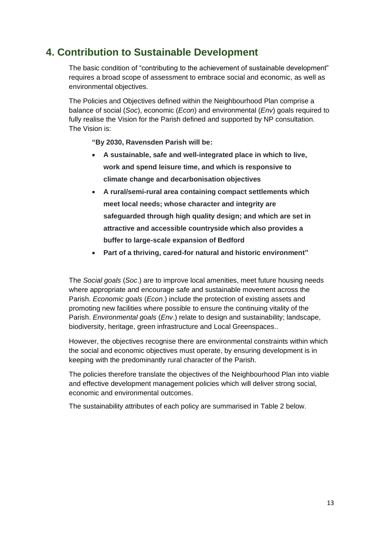## **4. Contribution to Sustainable Development**

The basic condition of "contributing to the achievement of sustainable development" requires a broad scope of assessment to embrace social and economic, as well as environmental objectives.

The Policies and Objectives defined within the Neighbourhood Plan comprise a balance of social (*Soc*), economic (*Econ*) and environmental (*Env*) goals required to fully realise the Vision for the Parish defined and supported by NP consultation. The Vision is:

**"By 2030, Ravensden Parish will be:**

- **A sustainable, safe and well-integrated place in which to live, work and spend leisure time, and which is responsive to climate change and decarbonisation objectives**
- **A rural/semi-rural area containing compact settlements which meet local needs; whose character and integrity are safeguarded through high quality design; and which are set in attractive and accessible countryside which also provides a buffer to large-scale expansion of Bedford**
- **Part of a thriving, cared-for natural and historic environment"**

The *Social goals* (*Soc*.) are to improve local amenities, meet future housing needs where appropriate and encourage safe and sustainable movement across the Parish. *Economic goals* (*Econ*.) include the protection of existing assets and promoting new facilities where possible to ensure the continuing vitality of the Parish. *Environmental goals* (*Env*.) relate to design and sustainability; landscape, biodiversity, heritage, green infrastructure and Local Greenspaces..

However, the objectives recognise there are environmental constraints within which the social and economic objectives must operate, by ensuring development is in keeping with the predominantly rural character of the Parish.

The policies therefore translate the objectives of the Neighbourhood Plan into viable and effective development management policies which will deliver strong social, economic and environmental outcomes.

The sustainability attributes of each policy are summarised in Table 2 below.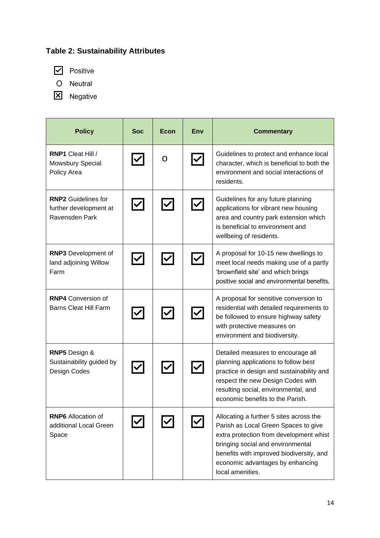## **Table 2: Sustainability Attributes**

 $\boxed{\mathbf{C}}$  Positive

O Neutral

X Negative

| <b>Policy</b>                                                          | <b>Soc</b> | Econ | Env               | <b>Commentary</b>                                                                                                                                                                                                                                                   |
|------------------------------------------------------------------------|------------|------|-------------------|---------------------------------------------------------------------------------------------------------------------------------------------------------------------------------------------------------------------------------------------------------------------|
| <b>RNP1 Cleat Hill /</b><br>Mowsbury Special<br>Policy Area            |            | O    |                   | Guidelines to protect and enhance local<br>character, which is beneficial to both the<br>environment and social interactions of<br>residents.                                                                                                                       |
| <b>RNP2</b> Guidelines for<br>further development at<br>Ravensden Park |            |      |                   | Guidelines for any future planning<br>applications for vibrant new housing<br>area and country park extension which<br>is beneficial to environment and<br>wellbeing of residents.                                                                                  |
| <b>RNP3</b> Development of<br>land adjoining Willow<br>Farm            |            |      |                   | A proposal for 10-15 new dwellings to<br>meet local needs making use of a partly<br>'brownfield site' and which brings<br>positive social and environmental benefits.                                                                                               |
| <b>RNP4 Conversion of</b><br><b>Barns Cleat Hill Farm</b>              |            |      |                   | A proposal for sensitive conversion to<br>residential with detailed requirements to<br>be followed to ensure highway safety<br>with protective measures on<br>environment and biodiversity.                                                                         |
| <b>RNP5</b> Design &<br>Sustainability guided by<br>Design Codes       |            |      | $\bm{\mathsf{V}}$ | Detailed measures to encourage all<br>planning applications to follow best<br>practice in design and sustainability and<br>respect the new Design Codes with<br>resulting social, environmental, and<br>economic benefits to the Parish.                            |
| <b>RNP6</b> Allocation of<br>additional Local Green<br>Space           |            |      |                   | Allocating a further 5 sites across the<br>Parish as Local Green Spaces to give<br>extra protection from development whist<br>bringing social and environmental<br>benefits with improved biodiversity, and<br>economic advantages by enhancing<br>local amenities. |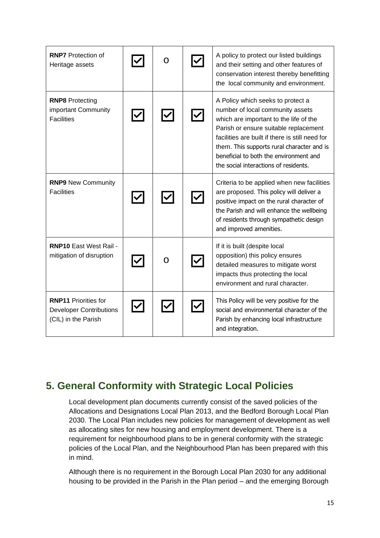| <b>RNP7</b> Protection of<br>Heritage assets                                         | O | A policy to protect our listed buildings<br>and their setting and other features of<br>conservation interest thereby benefitting<br>the local community and environment.                                                                                                                                                                     |
|--------------------------------------------------------------------------------------|---|----------------------------------------------------------------------------------------------------------------------------------------------------------------------------------------------------------------------------------------------------------------------------------------------------------------------------------------------|
| <b>RNP8</b> Protecting<br>important Community<br><b>Facilities</b>                   |   | A Policy which seeks to protect a<br>number of local community assets<br>which are important to the life of the<br>Parish or ensure suitable replacement<br>facilities are built if there is still need for<br>them. This supports rural character and is<br>beneficial to both the environment and<br>the social interactions of residents. |
| <b>RNP9 New Community</b><br><b>Facilities</b>                                       |   | Criteria to be applied when new facilities<br>are proposed. This policy will deliver a<br>positive impact on the rural character of<br>the Parish and will enhance the wellbeing<br>of residents through sympathetic design<br>and improved amenities.                                                                                       |
| <b>RNP10 East West Rail -</b><br>mitigation of disruption                            | O | If it is built (despite local<br>opposition) this policy ensures<br>detailed measures to mitigate worst<br>impacts thus protecting the local<br>environment and rural character.                                                                                                                                                             |
| <b>RNP11 Priorities for</b><br><b>Developer Contributions</b><br>(CIL) in the Parish |   | This Policy will be very positive for the<br>social and environmental character of the<br>Parish by enhancing local infrastructure<br>and integration.                                                                                                                                                                                       |

# **5. General Conformity with Strategic Local Policies**

Local development plan documents currently consist of the saved policies of the Allocations and Designations Local Plan 2013, and the Bedford Borough Local Plan 2030. The Local Plan includes new policies for management of development as well as allocating sites for new housing and employment development. There is a requirement for neighbourhood plans to be in general conformity with the strategic policies of the Local Plan, and the Neighbourhood Plan has been prepared with this in mind.

Although there is no requirement in the Borough Local Plan 2030 for any additional housing to be provided in the Parish in the Plan period – and the emerging Borough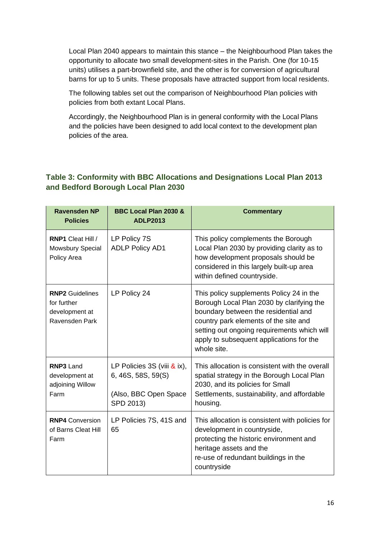Local Plan 2040 appears to maintain this stance – the Neighbourhood Plan takes the opportunity to allocate two small development-sites in the Parish. One (for 10-15 units) utilises a part-brownfield site, and the other is for conversion of agricultural barns for up to 5 units. These proposals have attracted support from local residents.

The following tables set out the comparison of Neighbourhood Plan policies with policies from both extant Local Plans.

Accordingly, the Neighbourhood Plan is in general conformity with the Local Plans and the policies have been designed to add local context to the development plan policies of the area.

### **Table 3: Conformity with BBC Allocations and Designations Local Plan 2013 and Bedford Borough Local Plan 2030**

| <b>Ravensden NP</b><br><b>Policies</b>                                    | BBC Local Plan 2030 &<br><b>ADLP2013</b>                                                    | <b>Commentary</b>                                                                                                                                                                                                                                                                |
|---------------------------------------------------------------------------|---------------------------------------------------------------------------------------------|----------------------------------------------------------------------------------------------------------------------------------------------------------------------------------------------------------------------------------------------------------------------------------|
| RNP1 Cleat Hill /<br>Mowsbury Special<br>Policy Area                      | LP Policy 7S<br><b>ADLP Policy AD1</b>                                                      | This policy complements the Borough<br>Local Plan 2030 by providing clarity as to<br>how development proposals should be<br>considered in this largely built-up area<br>within defined countryside.                                                                              |
| <b>RNP2</b> Guidelines<br>for further<br>development at<br>Ravensden Park | LP Policy 24                                                                                | This policy supplements Policy 24 in the<br>Borough Local Plan 2030 by clarifying the<br>boundary between the residential and<br>country park elements of the site and<br>setting out ongoing requirements which will<br>apply to subsequent applications for the<br>whole site. |
| <b>RNP3 Land</b><br>development at<br>adjoining Willow<br>Farm            | LP Policies 3S (viii $\&$ ix),<br>6, 46S, 58S, 59(S)<br>(Also, BBC Open Space)<br>SPD 2013) | This allocation is consistent with the overall<br>spatial strategy in the Borough Local Plan<br>2030, and its policies for Small<br>Settlements, sustainability, and affordable<br>housing.                                                                                      |
| <b>RNP4</b> Conversion<br>of Barns Cleat Hill<br>Farm                     | LP Policies 7S, 41S and<br>65                                                               | This allocation is consistent with policies for<br>development in countryside,<br>protecting the historic environment and<br>heritage assets and the<br>re-use of redundant buildings in the<br>countryside                                                                      |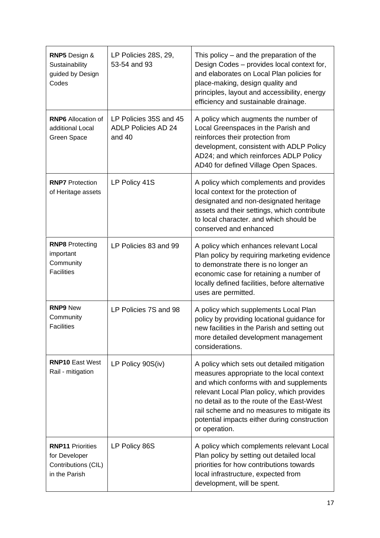| RNP5 Design &<br>Sustainability<br>guided by Design<br>Codes                     | LP Policies 28S, 29,<br>53-54 and 93                           | This policy $-$ and the preparation of the<br>Design Codes - provides local context for,<br>and elaborates on Local Plan policies for<br>place-making, design quality and<br>principles, layout and accessibility, energy<br>efficiency and sustainable drainage.                                                                               |
|----------------------------------------------------------------------------------|----------------------------------------------------------------|-------------------------------------------------------------------------------------------------------------------------------------------------------------------------------------------------------------------------------------------------------------------------------------------------------------------------------------------------|
| <b>RNP6</b> Allocation of<br>additional Local<br>Green Space                     | LP Policies 35S and 45<br><b>ADLP Policies AD 24</b><br>and 40 | A policy which augments the number of<br>Local Greenspaces in the Parish and<br>reinforces their protection from<br>development, consistent with ADLP Policy<br>AD24; and which reinforces ADLP Policy<br>AD40 for defined Village Open Spaces.                                                                                                 |
| <b>RNP7</b> Protection<br>of Heritage assets                                     | LP Policy 41S                                                  | A policy which complements and provides<br>local context for the protection of<br>designated and non-designated heritage<br>assets and their settings, which contribute<br>to local character, and which should be<br>conserved and enhanced                                                                                                    |
| <b>RNP8</b> Protecting<br>important<br>Community<br><b>Facilities</b>            | LP Policies 83 and 99                                          | A policy which enhances relevant Local<br>Plan policy by requiring marketing evidence<br>to demonstrate there is no longer an<br>economic case for retaining a number of<br>locally defined facilities, before alternative<br>uses are permitted.                                                                                               |
| <b>RNP9 New</b><br>Community<br><b>Facilities</b>                                | LP Policies 7S and 98                                          | A policy which supplements Local Plan<br>policy by providing locational guidance for<br>new facilities in the Parish and setting out<br>more detailed development management<br>considerations.                                                                                                                                                 |
| <b>RNP10 East West</b><br>Rail - mitigation                                      | LP Policy 90S(iv)                                              | A policy which sets out detailed mitigation<br>measures appropriate to the local context<br>and which conforms with and supplements<br>relevant Local Plan policy, which provides<br>no detail as to the route of the East-West<br>rail scheme and no measures to mitigate its<br>potential impacts either during construction<br>or operation. |
| <b>RNP11 Priorities</b><br>for Developer<br>Contributions (CIL)<br>in the Parish | LP Policy 86S                                                  | A policy which complements relevant Local<br>Plan policy by setting out detailed local<br>priorities for how contributions towards<br>local infrastructure, expected from<br>development, will be spent.                                                                                                                                        |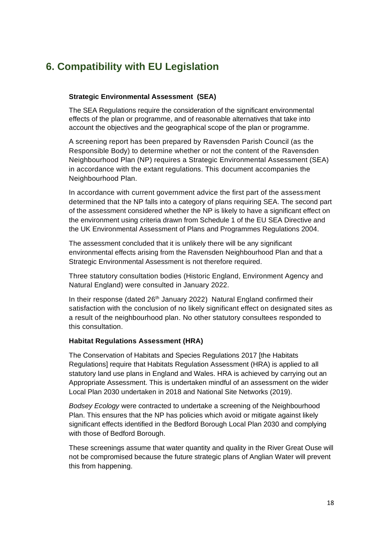# **6. Compatibility with EU Legislation**

#### **Strategic Environmental Assessment (SEA)**

The SEA Regulations require the consideration of the significant environmental effects of the plan or programme, and of reasonable alternatives that take into account the objectives and the geographical scope of the plan or programme.

A screening report has been prepared by Ravensden Parish Council (as the Responsible Body) to determine whether or not the content of the Ravensden Neighbourhood Plan (NP) requires a Strategic Environmental Assessment (SEA) in accordance with the extant regulations. This document accompanies the Neighbourhood Plan.

In accordance with current government advice the first part of the assessment determined that the NP falls into a category of plans requiring SEA. The second part of the assessment considered whether the NP is likely to have a significant effect on the environment using criteria drawn from Schedule 1 of the EU SEA Directive and the UK Environmental Assessment of Plans and Programmes Regulations 2004.

The assessment concluded that it is unlikely there will be any significant environmental effects arising from the Ravensden Neighbourhood Plan and that a Strategic Environmental Assessment is not therefore required.

Three statutory consultation bodies (Historic England, Environment Agency and Natural England) were consulted in January 2022.

In their response (dated  $26<sup>th</sup>$  January 2022) Natural England confirmed their satisfaction with the conclusion of no likely significant effect on designated sites as a result of the neighbourhood plan. No other statutory consultees responded to this consultation.

#### **Habitat Regulations Assessment (HRA)**

The Conservation of Habitats and Species Regulations 2017 [the Habitats Regulations] require that Habitats Regulation Assessment (HRA) is applied to all statutory land use plans in England and Wales. HRA is achieved by carrying out an Appropriate Assessment. This is undertaken mindful of an assessment on the wider Local Plan 2030 undertaken in 2018 and National Site Networks (2019).

*Bodsey Ecology* were contracted to undertake a screening of the Neighbourhood Plan. This ensures that the NP has policies which avoid or mitigate against likely significant effects identified in the Bedford Borough Local Plan 2030 and complying with those of Bedford Borough.

These screenings assume that water quantity and quality in the River Great Ouse will not be compromised because the future strategic plans of Anglian Water will prevent this from happening.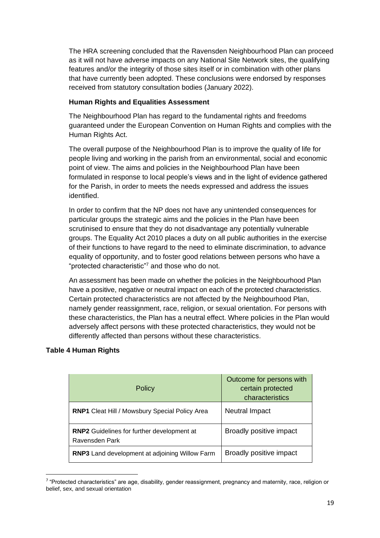The HRA screening concluded that the Ravensden Neighbourhood Plan can proceed as it will not have adverse impacts on any National Site Network sites, the qualifying features and/or the integrity of those sites itself or in combination with other plans that have currently been adopted. These conclusions were endorsed by responses received from statutory consultation bodies (January 2022).

#### **Human Rights and Equalities Assessment**

The Neighbourhood Plan has regard to the fundamental rights and freedoms guaranteed under the European Convention on Human Rights and complies with the Human Rights Act.

The overall purpose of the Neighbourhood Plan is to improve the quality of life for people living and working in the parish from an environmental, social and economic point of view. The aims and policies in the Neighbourhood Plan have been formulated in response to local people's views and in the light of evidence gathered for the Parish, in order to meets the needs expressed and address the issues identified.

In order to confirm that the NP does not have any unintended consequences for particular groups the strategic aims and the policies in the Plan have been scrutinised to ensure that they do not disadvantage any potentially vulnerable groups. The Equality Act 2010 places a duty on all public authorities in the exercise of their functions to have regard to the need to eliminate discrimination, to advance equality of opportunity, and to foster good relations between persons who have a "protected characteristic"<sup>7</sup> and those who do not.

An assessment has been made on whether the policies in the Neighbourhood Plan have a positive, negative or neutral impact on each of the protected characteristics. Certain protected characteristics are not affected by the Neighbourhood Plan, namely gender reassignment, race, religion, or sexual orientation. For persons with these characteristics, the Plan has a neutral effect. Where policies in the Plan would adversely affect persons with these protected characteristics, they would not be differently affected than persons without these characteristics.

### **Table 4 Human Rights**

| <b>Policy</b>                                                       | Outcome for persons with<br>certain protected<br>characteristics |
|---------------------------------------------------------------------|------------------------------------------------------------------|
| <b>RNP1</b> Cleat Hill / Mowsbury Special Policy Area               | Neutral Impact                                                   |
| <b>RNP2</b> Guidelines for further development at<br>Ravensden Park | Broadly positive impact                                          |
| RNP3 Land development at adjoining Willow Farm                      | Broadly positive impact                                          |

<sup>&</sup>lt;sup>7</sup> "Protected characteristics" are age, disability, gender reassignment, pregnancy and maternity, race, religion or belief, sex, and sexual orientation